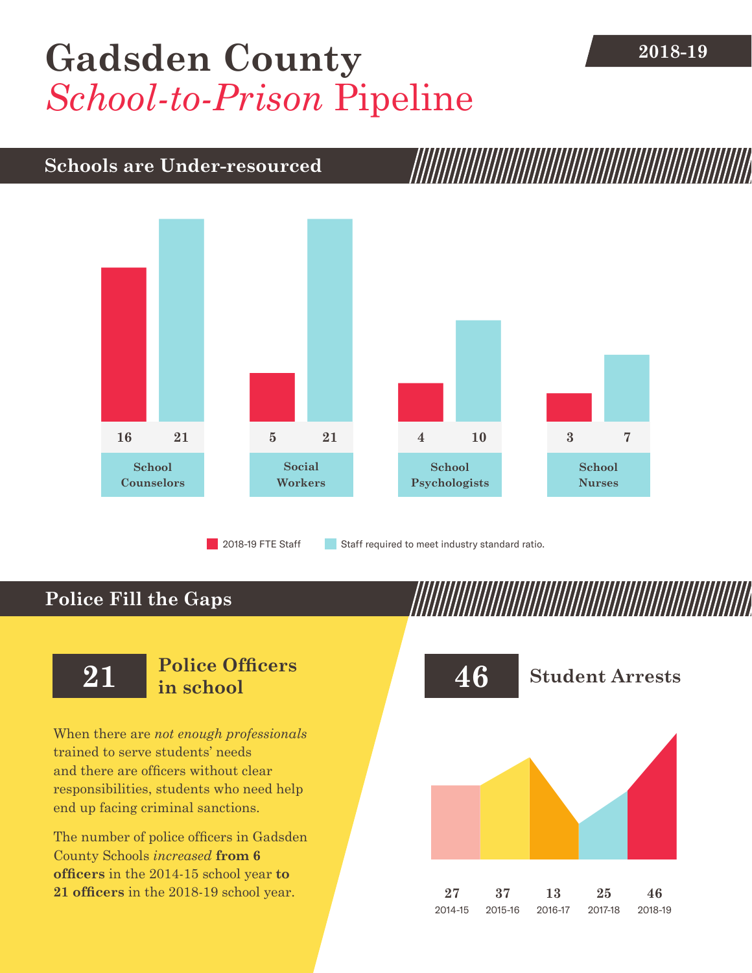# [Gadsden County](DBF_County) 2018-19 *School-to-Prison* Pipeline

## **Schools are Under-resourced**



2018-19 FTE Staff **Staff required to meet industry standard ratio.** 

## **Police Fill the Gaps**

When there are *not enough professionals* trained to serve students' needs and there are officers without clear responsibilities, students who need help end up facing criminal sanctions.

The number of police officers in [Gadsden](DBF_County)  [County](DBF_County) Schools *increased* **from [6](DBF_PO1415) officers** in the 2014-15 school year **to [21](DBF_PO) officers** in the 2018-19 school year.